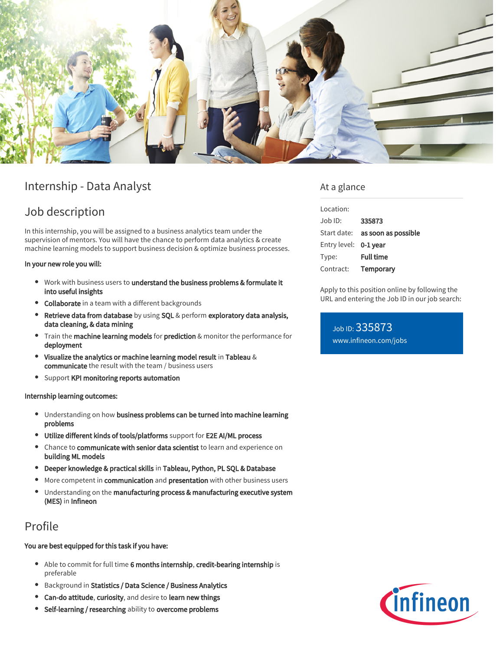

# Internship - Data Analyst

# Job description

In this internship, you will be assigned to a business analytics team under the supervision of mentors. You will have the chance to perform data analytics & create machine learning models to support business decision & optimize business processes.

In your new role you will:

- Work with business users to understand the business problems & formulate it into useful insights
- Collaborate in a team with a different backgrounds
- Retrieve data from database by using SQL & perform exploratory data analysis, data cleaning, & data mining
- **•** Train the **machine learning models** for **prediction** & monitor the performance for deployment
- $\bullet$ Visualize the analytics or machine learning model result in Tableau & communicate the result with the team / business users
- **•** Support KPI monitoring reports automation

#### Internship learning outcomes:

- Understanding on how business problems can be turned into machine learning problems
- Utilize different kinds of tools/platforms support for E2E AI/ML process
- Chance to communicate with senior data scientist to learn and experience on building ML models
- Deeper knowledge & practical skills in Tableau, Python, PL SQL & Database
- More competent in **communication** and **presentation** with other business users
- Understanding on the manufacturing process & manufacturing executive system (MES) in Infineon

### Profile

#### You are best equipped for this task if you have:

- Able to commit for full time 6 months internship, credit-bearing internship is preferable
- **•** Background in Statistics / Data Science / Business Analytics
- Can-do attitude, curiosity, and desire to learn new things
- Self-learning / researching ability to overcome problems

### At a glance

| Location:             |                                        |
|-----------------------|----------------------------------------|
| $Job$ ID:             | 335873                                 |
|                       | Start date: <b>as soon as possible</b> |
| Entry level: 0-1 year |                                        |
| Type:                 | <b>Full time</b>                       |
| Contract:             | Temporary                              |
|                       |                                        |

Apply to this position online by following the URL and entering the Job ID in our job search:

Job ID: 335873 [www.infineon.com/jobs](https://www.infineon.com/jobs)